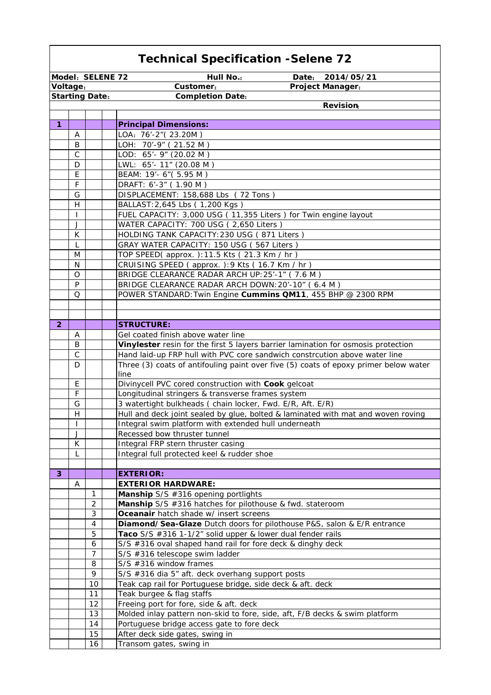|                  | <b>Technical Specification - Selene 72</b> |                       |                                                                                                           |  |  |
|------------------|--------------------------------------------|-----------------------|-----------------------------------------------------------------------------------------------------------|--|--|
| Model: SELENE 72 |                                            |                       | <b>Hull No.:</b><br>Date:<br>2014/05/21                                                                   |  |  |
| Voltage:         |                                            |                       | Customer:<br>Project Manager:                                                                             |  |  |
|                  |                                            | <b>Starting Date:</b> | <b>Completion Date:</b>                                                                                   |  |  |
|                  |                                            |                       | <b>Revision</b>                                                                                           |  |  |
|                  |                                            |                       |                                                                                                           |  |  |
| $\mathbf{1}$     |                                            |                       | <b>Principal Dimensions:</b>                                                                              |  |  |
|                  | Α                                          |                       | LOA: 76'-2" (23.20M)                                                                                      |  |  |
|                  | B                                          |                       | LOH: 70'-9" (21.52 M)                                                                                     |  |  |
|                  | $\mathsf{C}$                               |                       | LOD: 65'- 9" (20.02 M)                                                                                    |  |  |
|                  | D                                          |                       | LWL: 65'- 11" (20.08 M)                                                                                   |  |  |
|                  | E                                          |                       | BEAM: 19'- 6" (5.95 M)                                                                                    |  |  |
|                  | F                                          |                       | DRAFT: 6'-3" (1.90 M)                                                                                     |  |  |
|                  | G                                          |                       | DISPLACEMENT: 158,688 Lbs (72 Tons)                                                                       |  |  |
|                  | H                                          |                       | BALLAST: 2,645 Lbs (1,200 Kgs)                                                                            |  |  |
|                  | $\mathbf{I}$                               |                       | FUEL CAPACITY: 3,000 USG (11,355 Liters) for Twin engine layout<br>WATER CAPACITY: 700 USG (2,650 Liters) |  |  |
|                  | J<br>K                                     |                       | HOLDING TANK CAPACITY: 230 USG (871 Liters)                                                               |  |  |
|                  | L                                          |                       | GRAY WATER CAPACITY: 150 USG (567 Liters)                                                                 |  |  |
|                  | M                                          |                       | TOP SPEED(approx.): 11.5 Kts (21.3 Km / hr)                                                               |  |  |
|                  | N                                          |                       | CRUISING SPEED (approx.): 9 Kts (16.7 Km / hr)                                                            |  |  |
|                  | O                                          |                       | BRIDGE CLEARANCE RADAR ARCH UP: 25'-1" (7.6 M)                                                            |  |  |
|                  | P                                          |                       | BRIDGE CLEARANCE RADAR ARCH DOWN: 20'-10" (6.4 M)                                                         |  |  |
|                  | O                                          |                       | POWER STANDARD: Twin Engine Cummins QM11, 455 BHP @ 2300 RPM                                              |  |  |
|                  |                                            |                       |                                                                                                           |  |  |
|                  |                                            |                       |                                                                                                           |  |  |
| $\overline{2}$   |                                            |                       | <b>STRUCTURE:</b>                                                                                         |  |  |
|                  | A                                          |                       | Gel coated finish above water line                                                                        |  |  |
|                  | B                                          |                       | Vinylester resin for the first 5 layers barrier lamination for osmosis protection                         |  |  |
|                  | $\mathsf C$                                |                       | Hand laid-up FRP hull with PVC core sandwich constrcution above water line                                |  |  |
|                  | D                                          |                       | Three (3) coats of antifouling paint over five (5) coats of epoxy primer below water                      |  |  |
|                  |                                            |                       | line                                                                                                      |  |  |
|                  | E                                          |                       | Divinycell PVC cored construction with Cook gelcoat                                                       |  |  |
|                  | F                                          |                       | Longitudinal stringers & transverse frames system                                                         |  |  |
|                  | G                                          |                       | 3 watertight bulkheads ( chain locker, Fwd. E/R, Aft. E/R)                                                |  |  |
|                  | H                                          |                       | Hull and deck joint sealed by glue, bolted & laminated with mat and woven roving                          |  |  |
|                  | ı                                          |                       | Integral swim platform with extended hull underneath                                                      |  |  |
|                  | J                                          |                       | Recessed bow thruster tunnel                                                                              |  |  |
|                  | K                                          |                       | Integral FRP stern thruster casing                                                                        |  |  |
|                  | L                                          |                       | Integral full protected keel & rudder shoe                                                                |  |  |
| 3                |                                            |                       | <b>EXTERIOR:</b>                                                                                          |  |  |
|                  | A                                          |                       | <b>EXTERIOR HARDWARE:</b>                                                                                 |  |  |
|                  |                                            | 1                     | Manship S/S #316 opening portlights                                                                       |  |  |
|                  |                                            | $\overline{2}$        | Manship S/S #316 hatches for pilothouse & fwd. stateroom                                                  |  |  |
|                  |                                            | 3                     | Oceanair hatch shade w/ insert screens                                                                    |  |  |
|                  |                                            | 4                     | Diamond/Sea-Glaze Dutch doors for pilothouse P&S, salon & E/R entrance                                    |  |  |
|                  |                                            | 5                     | Taco S/S #316 1-1/2" solid upper & lower dual fender rails                                                |  |  |
|                  |                                            | 6                     | S/S #316 oval shaped hand rail for fore deck & dinghy deck                                                |  |  |
|                  |                                            | $\overline{7}$        | S/S #316 telescope swim ladder                                                                            |  |  |
|                  |                                            | 8                     | S/S #316 window frames                                                                                    |  |  |
|                  |                                            | 9                     | S/S #316 dia 5" aft. deck overhang support posts                                                          |  |  |
|                  |                                            | 10                    | Teak cap rail for Portuguese bridge, side deck & aft. deck                                                |  |  |
|                  |                                            | 11                    | Teak burgee & flag staffs                                                                                 |  |  |
|                  |                                            | 12                    | Freeing port for fore, side & aft. deck                                                                   |  |  |
|                  |                                            | 13                    | Molded inlay pattern non-skid to fore, side, aft, F/B decks & swim platform                               |  |  |
|                  |                                            | 14                    | Portuguese bridge access gate to fore deck                                                                |  |  |
|                  |                                            | 15                    | After deck side gates, swing in                                                                           |  |  |
|                  |                                            | 16                    | Transom gates, swing in                                                                                   |  |  |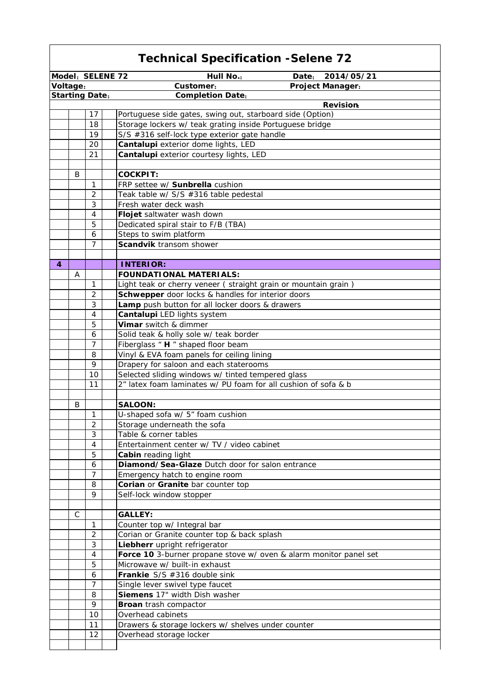|                                                             | <b>Technical Specification -Selene 72</b> |                       |                                                                   |  |
|-------------------------------------------------------------|-------------------------------------------|-----------------------|-------------------------------------------------------------------|--|
| <b>Hull No.:</b><br>Model: SELENE 72<br>Date:<br>2014/05/21 |                                           |                       |                                                                   |  |
| Voltage:                                                    |                                           |                       | <b>Project Manager:</b><br>Customer:                              |  |
|                                                             |                                           | <b>Starting Date:</b> | <b>Completion Date:</b>                                           |  |
|                                                             |                                           |                       | <b>Revision</b>                                                   |  |
|                                                             |                                           | 17                    | Portuguese side gates, swing out, starboard side (Option)         |  |
|                                                             |                                           | 18                    | Storage lockers w/ teak grating inside Portuguese bridge          |  |
|                                                             |                                           | 19                    | S/S #316 self-lock type exterior gate handle                      |  |
|                                                             |                                           | 20                    | Cantalupi exterior dome lights, LED                               |  |
|                                                             |                                           | 21                    | Cantalupi exterior courtesy lights, LED                           |  |
|                                                             |                                           |                       |                                                                   |  |
|                                                             | B                                         |                       | <b>COCKPIT:</b>                                                   |  |
|                                                             |                                           | $\mathbf{1}$          | FRP settee w/ Sunbrella cushion                                   |  |
|                                                             |                                           | $\overline{2}$        | Teak table w/ S/S #316 table pedestal                             |  |
|                                                             |                                           | $\mathfrak{Z}$        | Fresh water deck wash                                             |  |
|                                                             |                                           | $\overline{4}$        | Flojet saltwater wash down                                        |  |
|                                                             |                                           | 5                     | Dedicated spiral stair to F/B (TBA)                               |  |
|                                                             |                                           | 6                     | Steps to swim platform                                            |  |
|                                                             |                                           | 7                     | Scandvik transom shower                                           |  |
|                                                             |                                           |                       |                                                                   |  |
| 4                                                           |                                           |                       | <b>INTERIOR:</b>                                                  |  |
|                                                             | Α                                         |                       | <b>FOUNDATIONAL MATERIALS:</b>                                    |  |
|                                                             |                                           | 1                     |                                                                   |  |
|                                                             |                                           |                       | Light teak or cherry veneer (straight grain or mountain grain)    |  |
|                                                             |                                           | $\overline{2}$        | Schwepper door locks & handles for interior doors                 |  |
|                                                             |                                           | 3                     | Lamp push button for all locker doors & drawers                   |  |
|                                                             |                                           | 4                     | Cantalupi LED lights system                                       |  |
|                                                             |                                           | 5                     | Vimar switch & dimmer                                             |  |
|                                                             |                                           | 6                     | Solid teak & holly sole w/ teak border                            |  |
|                                                             |                                           | $\overline{7}$        | Fiberglass " H " shaped floor beam                                |  |
|                                                             |                                           | 8                     | Vinyl & EVA foam panels for ceiling lining                        |  |
|                                                             |                                           | 9                     | Drapery for saloon and each staterooms                            |  |
|                                                             |                                           | 10                    | Selected sliding windows w/ tinted tempered glass                 |  |
|                                                             |                                           | 11                    | 2" latex foam laminates w/ PU foam for all cushion of sofa & b    |  |
|                                                             |                                           |                       |                                                                   |  |
|                                                             | B                                         |                       | <b>SALOON:</b>                                                    |  |
|                                                             |                                           | $\mathbf{1}$          | U-shaped sofa w/ 5" foam cushion                                  |  |
|                                                             |                                           | 2                     | Storage underneath the sofa                                       |  |
|                                                             |                                           | 3                     | Table & corner tables                                             |  |
|                                                             |                                           | $\overline{4}$        | Entertainment center w/ TV / video cabinet                        |  |
|                                                             |                                           | 5                     | Cabin reading light                                               |  |
|                                                             |                                           | 6                     | Diamond/Sea-Glaze Dutch door for salon entrance                   |  |
|                                                             |                                           | 7                     | Emergency hatch to engine room                                    |  |
|                                                             |                                           | 8                     | Corian or Granite bar counter top                                 |  |
|                                                             |                                           | 9                     | Self-lock window stopper                                          |  |
|                                                             |                                           |                       |                                                                   |  |
|                                                             | С                                         |                       | <b>GALLEY:</b>                                                    |  |
|                                                             |                                           | $\mathbf{1}$          | Counter top w/ Integral bar                                       |  |
|                                                             |                                           | 2                     | Corian or Granite counter top & back splash                       |  |
|                                                             |                                           | 3                     |                                                                   |  |
|                                                             |                                           |                       | Liebherr upright refrigerator                                     |  |
|                                                             |                                           | 4                     | Force 10 3-burner propane stove w/ oven & alarm monitor panel set |  |
|                                                             |                                           | 5                     | Microwave w/ built-in exhaust                                     |  |
|                                                             |                                           | 6                     | Frankie S/S #316 double sink                                      |  |
|                                                             |                                           | 7                     | Single lever swivel type faucet                                   |  |
|                                                             |                                           | 8                     | Siemens 17" width Dish washer                                     |  |
|                                                             |                                           | 9                     | Broan trash compactor                                             |  |
|                                                             |                                           | 10                    | Overhead cabinets                                                 |  |
|                                                             |                                           | 11                    | Drawers & storage lockers w/ shelves under counter                |  |
|                                                             |                                           | 12                    | Overhead storage locker                                           |  |
|                                                             |                                           |                       |                                                                   |  |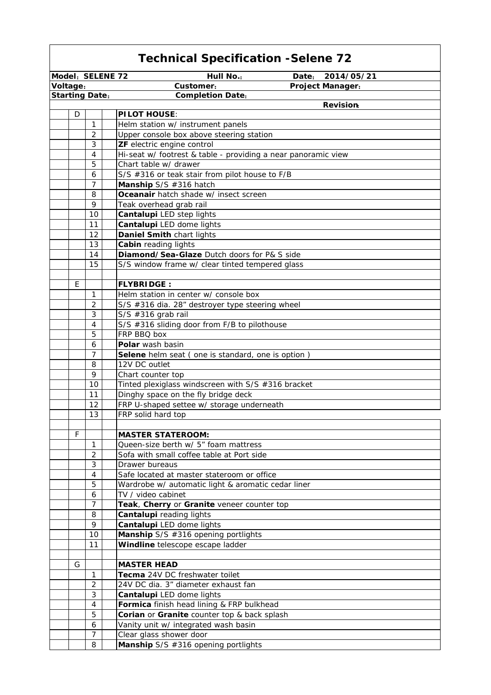| Model: SELENE 72      |                | <b>Hull No.:</b>                                                         | Date:<br>2014/05/21 |
|-----------------------|----------------|--------------------------------------------------------------------------|---------------------|
| Voltage:              |                | Customer:                                                                | Project Manager:    |
| <b>Starting Date:</b> |                | <b>Completion Date:</b>                                                  |                     |
|                       |                |                                                                          | <b>Revision</b>     |
| D                     |                | <b>PILOT HOUSE:</b>                                                      |                     |
|                       | $\mathbf{1}$   | Helm station w/ instrument panels                                        |                     |
|                       | $\overline{2}$ | Upper console box above steering station                                 |                     |
|                       | 3              | ZF electric engine control                                               |                     |
|                       | 4              | Hi-seat w/ footrest & table - providing a near panoramic view            |                     |
|                       | 5              | Chart table w/ drawer                                                    |                     |
|                       | 6              | S/S #316 or teak stair from pilot house to F/B                           |                     |
|                       | $\overline{7}$ | Manship S/S #316 hatch                                                   |                     |
|                       | 8              | Oceanair hatch shade w/ insect screen                                    |                     |
|                       | 9              | Teak overhead grab rail                                                  |                     |
|                       | 10             | Cantalupi LED step lights                                                |                     |
|                       | 11             | Cantalupi LED dome lights                                                |                     |
|                       | 12             | Daniel Smith chart lights                                                |                     |
|                       | 13<br>14       | Cabin reading lights<br>Diamond/Sea-Glaze Dutch doors for P& S side      |                     |
|                       | 15             |                                                                          |                     |
|                       |                | S/S window frame w/ clear tinted tempered glass                          |                     |
| E                     |                | <b>FLYBRIDGE:</b>                                                        |                     |
|                       | $\mathbf{1}$   | Helm station in center w/ console box                                    |                     |
|                       | $\overline{2}$ | S/S #316 dia. 28" destroyer type steering wheel                          |                     |
|                       | 3              | $S/S$ #316 grab rail                                                     |                     |
|                       | 4              | S/S #316 sliding door from F/B to pilothouse                             |                     |
|                       | 5              | FRP BBQ box                                                              |                     |
|                       | 6              | Polar wash basin                                                         |                     |
|                       | $\overline{7}$ | Selene helm seat (one is standard, one is option)                        |                     |
|                       | 8              | 12V DC outlet                                                            |                     |
|                       | 9              | Chart counter top                                                        |                     |
|                       | 10             | Tinted plexiglass windscreen with S/S #316 bracket                       |                     |
|                       | 11             | Dinghy space on the fly bridge deck                                      |                     |
|                       | 12             | FRP U-shaped settee w/ storage underneath                                |                     |
|                       | 13             | FRP solid hard top                                                       |                     |
|                       |                |                                                                          |                     |
| F                     |                | <b>MASTER STATEROOM:</b>                                                 |                     |
|                       | 1              | Queen-size berth w/ 5" foam mattress                                     |                     |
|                       | 2              | Sofa with small coffee table at Port side                                |                     |
|                       | 3              | Drawer bureaus                                                           |                     |
|                       | $\overline{4}$ | Safe located at master stateroom or office                               |                     |
|                       | 5<br>6         | Wardrobe w/ automatic light & aromatic cedar liner<br>TV / video cabinet |                     |
|                       | $\overline{7}$ | Teak, Cherry or Granite veneer counter top                               |                     |
|                       | 8              | Cantalupi reading lights                                                 |                     |
|                       | 9              | Cantalupi LED dome lights                                                |                     |
|                       | 10             | Manship S/S #316 opening portlights                                      |                     |
|                       | 11             | Windline telescope escape ladder                                         |                     |
|                       |                |                                                                          |                     |
| G                     |                | <b>MASTER HEAD</b>                                                       |                     |
|                       | $\mathbf{1}$   | Tecma 24V DC freshwater toilet                                           |                     |
|                       | 2              | 24V DC dia. 3" diameter exhaust fan                                      |                     |
|                       | 3              | Cantalupi LED dome lights                                                |                     |
|                       | 4              | Formica finish head lining & FRP bulkhead                                |                     |
|                       | 5              | Corian or Granite counter top & back splash                              |                     |
|                       | 6              | Vanity unit w/ integrated wash basin                                     |                     |
|                       | $\overline{7}$ | Clear glass shower door                                                  |                     |
|                       | 8              | Manship S/S #316 opening portlights                                      |                     |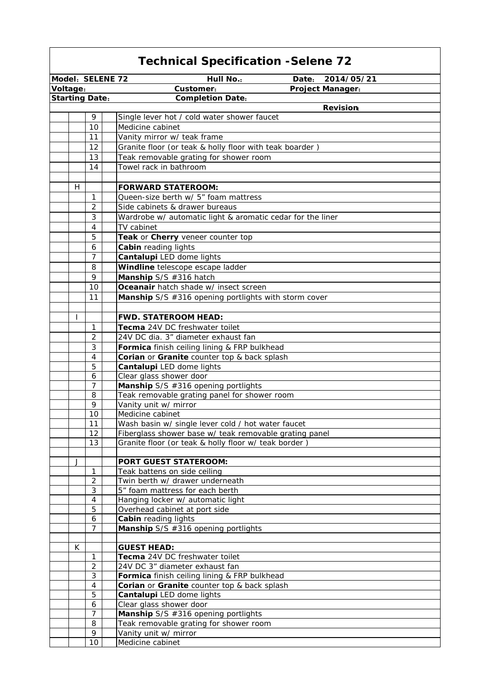|                       | <b>Technical Specification - Selene 72</b> |                                                                       |  |  |  |
|-----------------------|--------------------------------------------|-----------------------------------------------------------------------|--|--|--|
| Model: SELENE 72      |                                            | Hull No.:<br>2014/05/21<br>Date:                                      |  |  |  |
| Voltage:              |                                            | Customer:<br><b>Project Manager:</b>                                  |  |  |  |
| <b>Starting Date:</b> |                                            | <b>Completion Date:</b>                                               |  |  |  |
|                       |                                            | <b>Revision</b>                                                       |  |  |  |
|                       | 9                                          | Single lever hot / cold water shower faucet                           |  |  |  |
|                       | 10                                         | Medicine cabinet                                                      |  |  |  |
|                       | 11                                         | Vanity mirror w/ teak frame                                           |  |  |  |
|                       | 12                                         | Granite floor (or teak & holly floor with teak boarder)               |  |  |  |
|                       | 13                                         | Teak removable grating for shower room                                |  |  |  |
|                       | 14                                         | Towel rack in bathroom                                                |  |  |  |
|                       |                                            |                                                                       |  |  |  |
| H                     |                                            | <b>FORWARD STATEROOM:</b>                                             |  |  |  |
|                       | 1                                          | Queen-size berth w/ 5" foam mattress                                  |  |  |  |
|                       | 2                                          | Side cabinets & drawer bureaus                                        |  |  |  |
|                       | 3                                          | Wardrobe w/ automatic light & aromatic cedar for the liner            |  |  |  |
|                       | 4                                          | TV cabinet                                                            |  |  |  |
|                       | 5                                          | Teak or Cherry veneer counter top                                     |  |  |  |
|                       | 6                                          | <b>Cabin reading lights</b>                                           |  |  |  |
|                       | 7                                          | Cantalupi LED dome lights                                             |  |  |  |
|                       | 8                                          | Windline telescope escape ladder                                      |  |  |  |
|                       | 9                                          | Manship S/S #316 hatch                                                |  |  |  |
|                       | 10                                         | Oceanair hatch shade w/ insect screen                                 |  |  |  |
|                       | 11                                         | Manship S/S #316 opening portlights with storm cover                  |  |  |  |
|                       |                                            |                                                                       |  |  |  |
| T                     |                                            | <b>FWD. STATEROOM HEAD:</b>                                           |  |  |  |
|                       | 1                                          | Tecma 24V DC freshwater toilet                                        |  |  |  |
|                       | $\overline{2}$                             | 24V DC dia. 3" diameter exhaust fan                                   |  |  |  |
|                       | 3                                          | Formica finish ceiling lining & FRP bulkhead                          |  |  |  |
|                       | 4                                          | Corian or Granite counter top & back splash                           |  |  |  |
|                       | 5                                          | Cantalupi LED dome lights                                             |  |  |  |
|                       | 6<br>7                                     | Clear glass shower door                                               |  |  |  |
|                       | 8                                          | Manship S/S #316 opening portlights                                   |  |  |  |
|                       | 9                                          | Teak removable grating panel for shower room<br>Vanity unit w/ mirror |  |  |  |
|                       | 10                                         | Medicine cabinet                                                      |  |  |  |
|                       | 11                                         | Wash basin w/ single lever cold / hot water faucet                    |  |  |  |
|                       | 12                                         | Fiberglass shower base w/ teak removable grating panel                |  |  |  |
|                       | 13                                         | Granite floor (or teak & holly floor w/ teak border)                  |  |  |  |
|                       |                                            |                                                                       |  |  |  |
| J                     |                                            | <b>PORT GUEST STATEROOM:</b>                                          |  |  |  |
|                       | 1                                          | Teak battens on side ceiling                                          |  |  |  |
|                       | $\overline{2}$                             | Twin berth w/ drawer underneath                                       |  |  |  |
|                       | 3                                          | 5" foam mattress for each berth                                       |  |  |  |
|                       | 4                                          | Hanging locker w/ automatic light                                     |  |  |  |
|                       | 5                                          | Overhead cabinet at port side                                         |  |  |  |
|                       | 6                                          | <b>Cabin reading lights</b>                                           |  |  |  |
|                       | 7                                          | Manship S/S #316 opening portlights                                   |  |  |  |
|                       |                                            |                                                                       |  |  |  |
| K                     |                                            | <b>GUEST HEAD:</b>                                                    |  |  |  |
|                       | 1                                          | Tecma 24V DC freshwater toilet                                        |  |  |  |
|                       | $\overline{2}$                             | 24V DC 3" diameter exhaust fan                                        |  |  |  |
|                       | 3                                          | Formica finish ceiling lining & FRP bulkhead                          |  |  |  |
|                       | 4                                          | Corian or Granite counter top & back splash                           |  |  |  |
|                       | 5                                          | Cantalupi LED dome lights                                             |  |  |  |
|                       | 6<br>7                                     | Clear glass shower door<br>Manship S/S #316 opening portlights        |  |  |  |
|                       | 8                                          | Teak removable grating for shower room                                |  |  |  |
|                       | 9                                          | Vanity unit w/ mirror                                                 |  |  |  |
|                       | 10                                         | Medicine cabinet                                                      |  |  |  |

 $\mathsf{r}$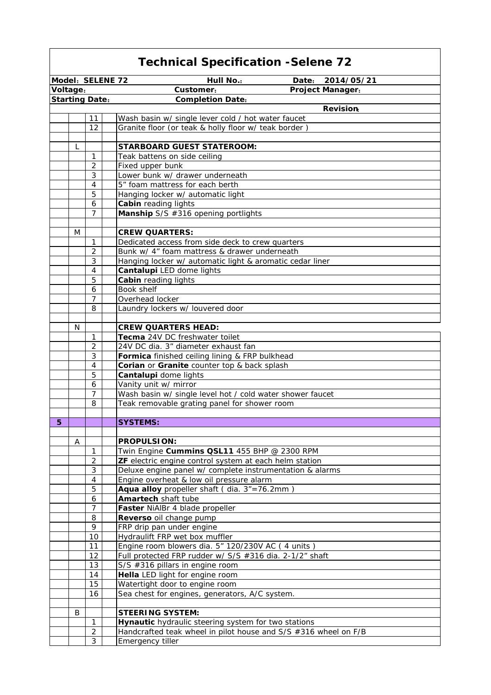| <b>Technical Specification - Selene 72</b> |                     |  |                                                                                               |
|--------------------------------------------|---------------------|--|-----------------------------------------------------------------------------------------------|
| Model: SELENE 72                           |                     |  | Hull No.:<br>Date:<br>2014/05/21                                                              |
| Voltage:                                   |                     |  | Customer:<br><b>Project Manager:</b>                                                          |
| <b>Starting Date:</b>                      |                     |  | <b>Completion Date:</b>                                                                       |
|                                            |                     |  | <b>Revision</b>                                                                               |
|                                            | 11                  |  | Wash basin w/ single lever cold / hot water faucet                                            |
|                                            | 12                  |  | Granite floor (or teak & holly floor w/ teak border)                                          |
|                                            |                     |  |                                                                                               |
| L                                          |                     |  | <b>STARBOARD GUEST STATEROOM:</b>                                                             |
|                                            | $\mathbf{1}$        |  | Teak battens on side ceiling                                                                  |
|                                            | $\overline{2}$      |  | Fixed upper bunk                                                                              |
|                                            | 3<br>4              |  | Lower bunk w/ drawer underneath<br>5" foam mattress for each berth                            |
|                                            | 5                   |  | Hanging locker w/ automatic light                                                             |
|                                            | 6                   |  | <b>Cabin</b> reading lights                                                                   |
|                                            | $\overline{7}$      |  | Manship S/S #316 opening portlights                                                           |
|                                            |                     |  |                                                                                               |
| M                                          |                     |  | <b>CREW QUARTERS:</b>                                                                         |
|                                            | 1                   |  | Dedicated access from side deck to crew quarters                                              |
|                                            | 2                   |  | Bunk w/ 4" foam mattress & drawer underneath                                                  |
|                                            | 3                   |  | Hanging locker w/ automatic light & aromatic cedar liner                                      |
|                                            | $\overline{4}$      |  | Cantalupi LED dome lights                                                                     |
|                                            | 5                   |  | Cabin reading lights                                                                          |
|                                            | 6                   |  | Book shelf                                                                                    |
|                                            | $\overline{7}$      |  | Overhead locker                                                                               |
|                                            | 8                   |  | Laundry lockers w/ louvered door                                                              |
|                                            |                     |  |                                                                                               |
| N                                          |                     |  | <b>CREW QUARTERS HEAD:</b>                                                                    |
|                                            | 1                   |  | Tecma 24V DC freshwater toilet                                                                |
|                                            | $\overline{2}$<br>3 |  | 24V DC dia. 3" diameter exhaust fan                                                           |
|                                            | 4                   |  | Formica finished ceiling lining & FRP bulkhead<br>Corian or Granite counter top & back splash |
|                                            | 5                   |  | Cantalupi dome lights                                                                         |
|                                            | 6                   |  | Vanity unit w/ mirror                                                                         |
|                                            | 7                   |  | Wash basin w/ single level hot / cold water shower faucet                                     |
|                                            | 8                   |  | Teak removable grating panel for shower room                                                  |
|                                            |                     |  |                                                                                               |
| 5                                          |                     |  | <b>SYSTEMS:</b>                                                                               |
|                                            |                     |  |                                                                                               |
| Α                                          |                     |  | <b>PROPULSION:</b>                                                                            |
|                                            | $\mathbf{1}$        |  | Twin Engine Cummins QSL11 455 BHP @ 2300 RPM                                                  |
|                                            | $\overline{2}$      |  | ZF electric engine control system at each helm station                                        |
|                                            | $\sqrt{3}$          |  | Deluxe engine panel w/ complete instrumentation & alarms                                      |
|                                            | $\overline{4}$      |  | Engine overheat & low oil pressure alarm                                                      |
|                                            | 5                   |  | Aqua alloy propeller shaft (dia. 3"=76.2mm                                                    |
|                                            | 6                   |  | Amartech shaft tube                                                                           |
|                                            | $\overline{7}$      |  | Faster NiAlBr 4 blade propeller                                                               |
|                                            | 8<br>9              |  | Reverso oil change pump<br>FRP drip pan under engine                                          |
|                                            | 10                  |  | Hydraulift FRP wet box muffler                                                                |
|                                            | 11                  |  | Engine room blowers dia. 5" 120/230V AC (4 units)                                             |
|                                            | 12                  |  | Full protected FRP rudder w/ S/S #316 dia. 2-1/2" shaft                                       |
|                                            | 13                  |  | S/S #316 pillars in engine room                                                               |
|                                            | 14                  |  | Hella LED light for engine room                                                               |
|                                            | 15                  |  | Watertight door to engine room                                                                |
|                                            | 16                  |  | Sea chest for engines, generators, A/C system.                                                |
|                                            |                     |  |                                                                                               |
| B                                          |                     |  | <b>STEERING SYSTEM:</b>                                                                       |
|                                            | $\mathbf{1}$        |  | Hynautic hydraulic steering system for two stations                                           |
|                                            | $\sqrt{2}$          |  | Handcrafted teak wheel in pilot house and S/S #316 wheel on F/B                               |
|                                            | $\mathfrak{Z}$      |  | Emergency tiller                                                                              |

 $\overline{\phantom{a}}$ 

 $\mathsf{r}$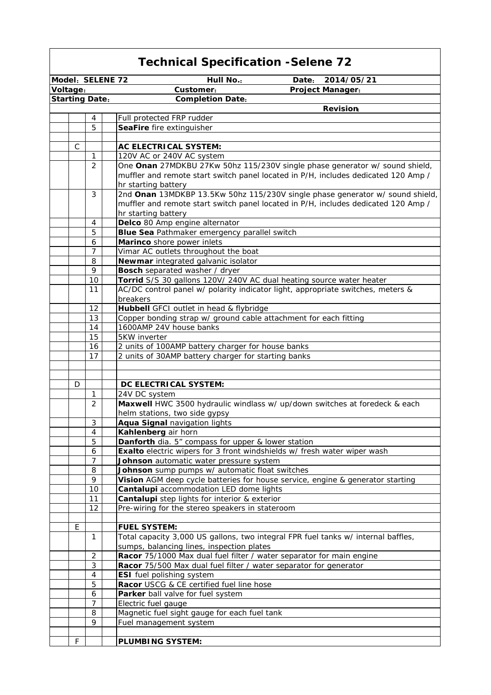|                       | <b>Technical Specification - Selene 72</b> |                                                                                                                                                         |  |  |
|-----------------------|--------------------------------------------|---------------------------------------------------------------------------------------------------------------------------------------------------------|--|--|
| Model: SELENE 72      |                                            | <b>Hull No.:</b><br>2014/05/21<br>Date:                                                                                                                 |  |  |
| Voltage:              |                                            | Customer:<br>Project Manager:                                                                                                                           |  |  |
| <b>Starting Date:</b> |                                            | <b>Completion Date:</b>                                                                                                                                 |  |  |
|                       |                                            | <b>Revision</b>                                                                                                                                         |  |  |
|                       | 4                                          | Full protected FRP rudder                                                                                                                               |  |  |
|                       | 5                                          | SeaFire fire extinguisher                                                                                                                               |  |  |
|                       |                                            |                                                                                                                                                         |  |  |
| C                     | 1                                          | <b>AC ELECTRICAL SYSTEM:</b><br>120V AC or 240V AC system                                                                                               |  |  |
|                       | 2                                          | One Onan 27MDKBU 27Kw 50hz 115/230V single phase generator w/ sound shield,                                                                             |  |  |
|                       |                                            | muffler and remote start switch panel located in P/H, includes dedicated 120 Amp /                                                                      |  |  |
|                       |                                            | hr starting battery                                                                                                                                     |  |  |
|                       | 3                                          | 2nd Onan 13MDKBP 13.5Kw 50hz 115/230V single phase generator w/ sound shield,                                                                           |  |  |
|                       |                                            | muffler and remote start switch panel located in P/H, includes dedicated 120 Amp /                                                                      |  |  |
|                       |                                            | hr starting battery                                                                                                                                     |  |  |
|                       | 4                                          | Delco 80 Amp engine alternator                                                                                                                          |  |  |
|                       | 5                                          | Blue Sea Pathmaker emergency parallel switch                                                                                                            |  |  |
|                       | 6                                          | Marinco shore power inlets                                                                                                                              |  |  |
|                       | 7                                          | Vimar AC outlets throughout the boat                                                                                                                    |  |  |
|                       | 8                                          | Newmar integrated galvanic isolator                                                                                                                     |  |  |
|                       | 9                                          | <b>Bosch</b> separated washer / dryer                                                                                                                   |  |  |
|                       | 10<br>11                                   | Torrid S/S 30 gallons 120V/ 240V AC dual heating source water heater<br>AC/DC control panel w/ polarity indicator light, appropriate switches, meters & |  |  |
|                       |                                            | breakers                                                                                                                                                |  |  |
|                       | 12                                         | Hubbell GFCI outlet in head & flybridge                                                                                                                 |  |  |
|                       | 13                                         | Copper bonding strap w/ ground cable attachment for each fitting                                                                                        |  |  |
|                       | 14                                         | 1600AMP 24V house banks                                                                                                                                 |  |  |
|                       | 15                                         | 5KW inverter                                                                                                                                            |  |  |
|                       | 16                                         | 2 units of 100AMP battery charger for house banks                                                                                                       |  |  |
|                       | 17                                         | 2 units of 30AMP battery charger for starting banks                                                                                                     |  |  |
|                       |                                            |                                                                                                                                                         |  |  |
|                       |                                            |                                                                                                                                                         |  |  |
| D                     |                                            | DC ELECTRICAL SYSTEM:                                                                                                                                   |  |  |
|                       | 1                                          | 24V DC system                                                                                                                                           |  |  |
|                       | 2                                          | Maxwell HWC 3500 hydraulic windlass w/ up/down switches at foredeck & each                                                                              |  |  |
|                       | 3                                          | helm stations, two side gypsy<br>Aqua Signal navigation lights                                                                                          |  |  |
|                       | 4                                          | Kahlenberg air horn                                                                                                                                     |  |  |
|                       | 5                                          | Danforth dia. 5" compass for upper & lower station                                                                                                      |  |  |
|                       | 6                                          | Exalto electric wipers for 3 front windshields w/ fresh water wiper wash                                                                                |  |  |
|                       | 7                                          | Johnson automatic water pressure system                                                                                                                 |  |  |
|                       | 8                                          | Johnson sump pumps w/ automatic float switches                                                                                                          |  |  |
|                       | 9                                          | Vision AGM deep cycle batteries for house service, engine & generator starting                                                                          |  |  |
|                       | 10                                         | Cantalupi accommodation LED dome lights                                                                                                                 |  |  |
|                       | 11                                         | Cantalupi step lights for interior & exterior                                                                                                           |  |  |
|                       | 12                                         | Pre-wiring for the stereo speakers in stateroom                                                                                                         |  |  |
|                       |                                            |                                                                                                                                                         |  |  |
| E                     |                                            | <b>FUEL SYSTEM:</b>                                                                                                                                     |  |  |
|                       | $\mathbf{1}$                               | Total capacity 3,000 US gallons, two integral FPR fuel tanks w/ internal baffles,<br>sumps, balancing lines, inspection plates                          |  |  |
|                       | $\sqrt{2}$                                 | Racor 75/1000 Max dual fuel filter / water separator for main engine                                                                                    |  |  |
|                       | $\mathfrak{Z}$                             | Racor 75/500 Max dual fuel filter / water separator for generator                                                                                       |  |  |
|                       | 4                                          | <b>ESI</b> fuel polishing system                                                                                                                        |  |  |
|                       | 5                                          | Racor USCG & CE certified fuel line hose                                                                                                                |  |  |
|                       | 6                                          | Parker ball valve for fuel system                                                                                                                       |  |  |
|                       | $\overline{7}$                             | Electric fuel gauge                                                                                                                                     |  |  |
|                       | 8                                          | Magnetic fuel sight gauge for each fuel tank                                                                                                            |  |  |
|                       | 9                                          | Fuel management system                                                                                                                                  |  |  |
|                       |                                            |                                                                                                                                                         |  |  |
| F                     |                                            | <b>PLUMBING SYSTEM:</b>                                                                                                                                 |  |  |

Г